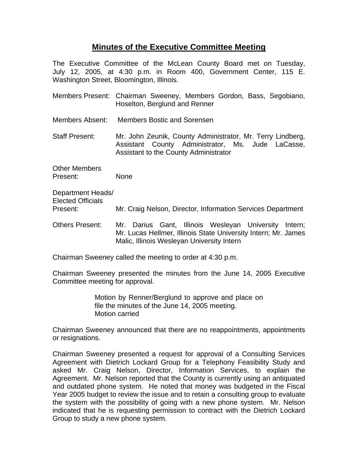## **Minutes of the Executive Committee Meeting**

The Executive Committee of the McLean County Board met on Tuesday, July 12, 2005, at 4:30 p.m. in Room 400, Government Center, 115 E. Washington Street, Bloomington, Illinois.

- Members Present: Chairman Sweeney, Members Gordon, Bass, Segobiano, Hoselton, Berglund and Renner
- Members Absent: Members Bostic and Sorensen

Staff Present: Mr. John Zeunik, County Administrator, Mr. Terry Lindberg, Assistant County Administrator, Ms. Jude LaCasse, Assistant to the County Administrator

Other Members Present: None

Department Heads/ Elected Officials Present: Mr. Craig Nelson, Director, Information Services Department

Others Present: Mr. Darius Gant, Illinois Wesleyan University Intern; Mr. Lucas Hellmer, Illinois State University Intern; Mr. James Malic, Illinois Wesleyan University Intern

Chairman Sweeney called the meeting to order at 4:30 p.m.

Chairman Sweeney presented the minutes from the June 14, 2005 Executive Committee meeting for approval.

> Motion by Renner/Berglund to approve and place on file the minutes of the June 14, 2005 meeting. Motion carried

Chairman Sweeney announced that there are no reappointments, appointments or resignations.

Chairman Sweeney presented a request for approval of a Consulting Services Agreement with Dietrich Lockard Group for a Telephony Feasibility Study and asked Mr. Craig Nelson, Director, Information Services, to explain the Agreement. Mr. Nelson reported that the County is currently using an antiquated and outdated phone system. He noted that money was budgeted in the Fiscal Year 2005 budget to review the issue and to retain a consulting group to evaluate the system with the possibility of going with a new phone system. Mr. Nelson indicated that he is requesting permission to contract with the Dietrich Lockard Group to study a new phone system.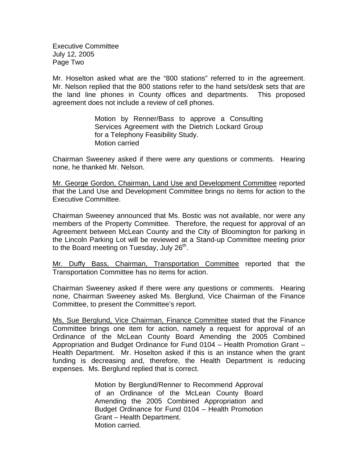Executive Committee July 12, 2005 Page Two

Mr. Hoselton asked what are the "800 stations" referred to in the agreement. Mr. Nelson replied that the 800 stations refer to the hand sets/desk sets that are the land line phones in County offices and departments. This proposed agreement does not include a review of cell phones.

> Motion by Renner/Bass to approve a Consulting Services Agreement with the Dietrich Lockard Group for a Telephony Feasibility Study. Motion carried

Chairman Sweeney asked if there were any questions or comments. Hearing none, he thanked Mr. Nelson.

Mr. George Gordon, Chairman, Land Use and Development Committee reported that the Land Use and Development Committee brings no items for action to the Executive Committee.

Chairman Sweeney announced that Ms. Bostic was not available, nor were any members of the Property Committee. Therefore, the request for approval of an Agreement between McLean County and the City of Bloomington for parking in the Lincoln Parking Lot will be reviewed at a Stand-up Committee meeting prior to the Board meeting on Tuesday, July 26<sup>th</sup>.

Mr. Duffy Bass, Chairman, Transportation Committee reported that the Transportation Committee has no items for action.

Chairman Sweeney asked if there were any questions or comments. Hearing none, Chairman Sweeney asked Ms. Berglund, Vice Chairman of the Finance Committee, to present the Committee's report.

Ms, Sue Berglund, Vice Chairman, Finance Committee stated that the Finance Committee brings one item for action, namely a request for approval of an Ordinance of the McLean County Board Amending the 2005 Combined Appropriation and Budget Ordinance for Fund 0104 – Health Promotion Grant – Health Department. Mr. Hoselton asked if this is an instance when the grant funding is decreasing and, therefore, the Health Department is reducing expenses. Ms. Berglund replied that is correct.

> Motion by Berglund/Renner to Recommend Approval of an Ordinance of the McLean County Board Amending the 2005 Combined Appropriation and Budget Ordinance for Fund 0104 – Health Promotion Grant – Health Department. Motion carried.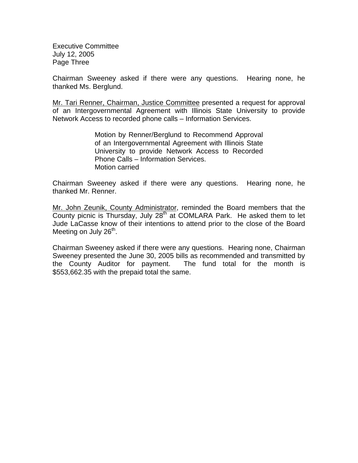Executive Committee July 12, 2005 Page Three

Chairman Sweeney asked if there were any questions. Hearing none, he thanked Ms. Berglund.

Mr. Tari Renner, Chairman, Justice Committee presented a request for approval of an Intergovernmental Agreement with Illinois State University to provide Network Access to recorded phone calls – Information Services.

> Motion by Renner/Berglund to Recommend Approval of an Intergovernmental Agreement with Illinois State University to provide Network Access to Recorded Phone Calls – Information Services. Motion carried

Chairman Sweeney asked if there were any questions. Hearing none, he thanked Mr. Renner.

Mr. John Zeunik, County Administrator, reminded the Board members that the County picnic is Thursday, July  $28<sup>th</sup>$  at COMLARA Park. He asked them to let Jude LaCasse know of their intentions to attend prior to the close of the Board Meeting on July  $26<sup>th</sup>$ .

Chairman Sweeney asked if there were any questions. Hearing none, Chairman Sweeney presented the June 30, 2005 bills as recommended and transmitted by the County Auditor for payment. The fund total for the month is \$553,662.35 with the prepaid total the same.